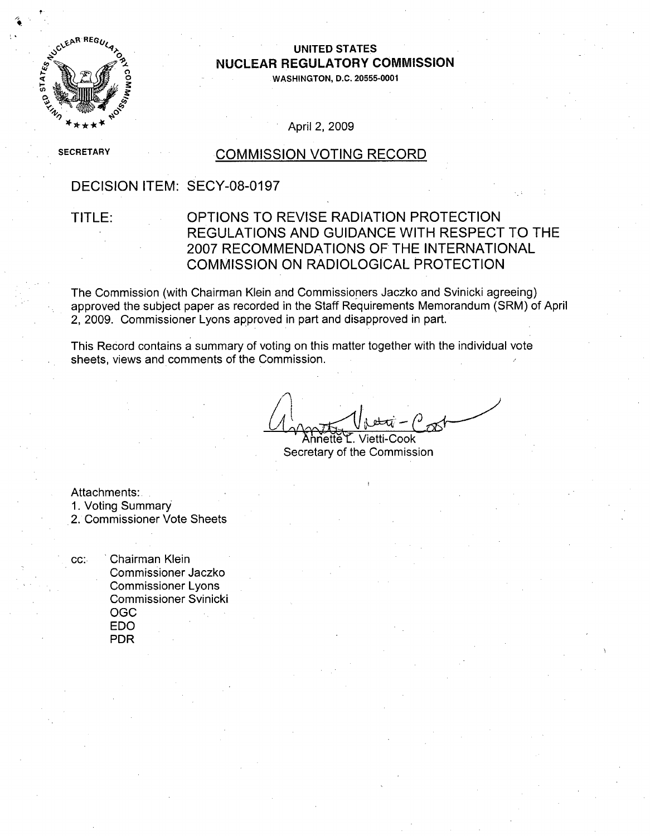# **UNITED STATES 0 NUCLEAR** REGULATORY **COMMISSION**

**WASHINGTON, D.C. 20555-0001**

April 2, 2009

**SECRETARY** 

CLEAR REGU

STATES

#### **COMMISSION VOTING RECORD**

### DECISION ITEM: SECY-08-0197

### TITLE: OPTIONS TO REVISE RADIATION PROTECTION REGULATIONS AND GUIDANCE WITH RESPECT TO THE 2007 RECOMMENDATIONS OF THE INTERNATIONAL COMMISSION ON RADIOLOGICAL PROTECTION

The Commission (with Chairman Klein and Commissioners Jaczko and Svinicki agreeing) approved the subject paper as recorded in the Staff Requirements Memorandum (SRM) of April 2, 2009. Commissioner Lyons approved in part and disapproved in part.

This Record contains a summary of voting on this matter together with the individual vote sheets, views and comments of the Commission.

Annette L. Vietti-Cook Secretary of the Commission

Attachments: 1. Voting Summary 2. Commissioner Vote Sheets

cc: 'Chairman Klein Commissioner Jaczko Commissioner Lyons Commissioner Svinicki OGC **EDO** PDR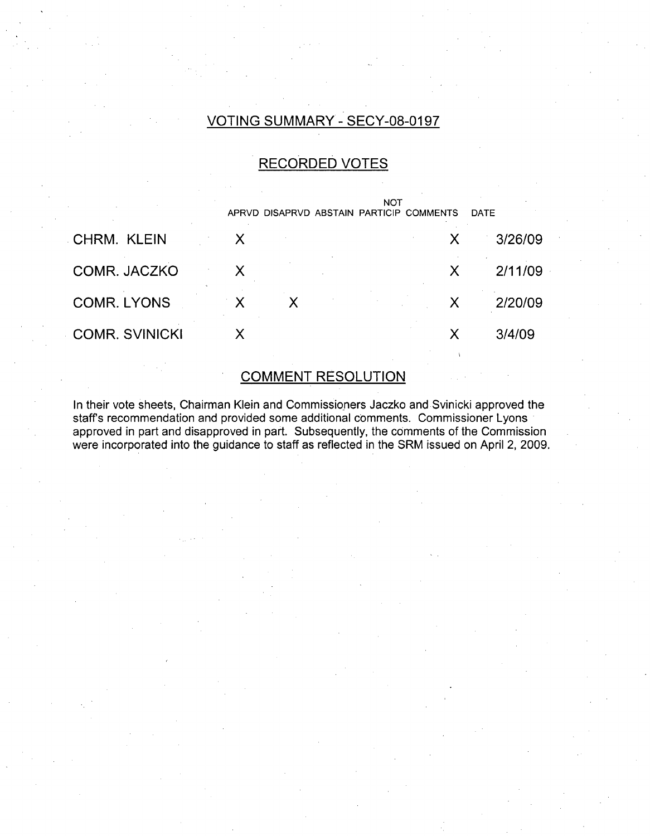### VOTING SUMMARY - SECY-08-0197

# RECORDED VOTES

|                       |                           |  | NOT | APRVD DISAPRVD ABSTAIN PARTICIP COMMENTS | <b>DATE</b> |
|-----------------------|---------------------------|--|-----|------------------------------------------|-------------|
| <b>CHRM. KLEIN</b>    | X                         |  |     | X                                        | 3/26/09     |
| COMR. JACZKO          | X                         |  |     | $\chi$                                   | 2/11/09     |
| <b>COMR. LYONS</b>    | $\boldsymbol{\mathsf{X}}$ |  |     | X                                        | 2/20/09     |
| <b>COMR. SVINICKI</b> | X                         |  |     | X                                        | 3/4/09      |
|                       |                           |  |     |                                          |             |

# COMMENT RESOLUTION

In their vote sheets, Chairman Klein and Commissioners Jaczko and Svinicki approved the staffs recommendation and provided some additional comments. Commissioner Lyons approved in part and disapproved in part. Subsequently, the comments of the Commission were incorporated into the guidance to staff as reflected in the SRM issued on April 2, 2009.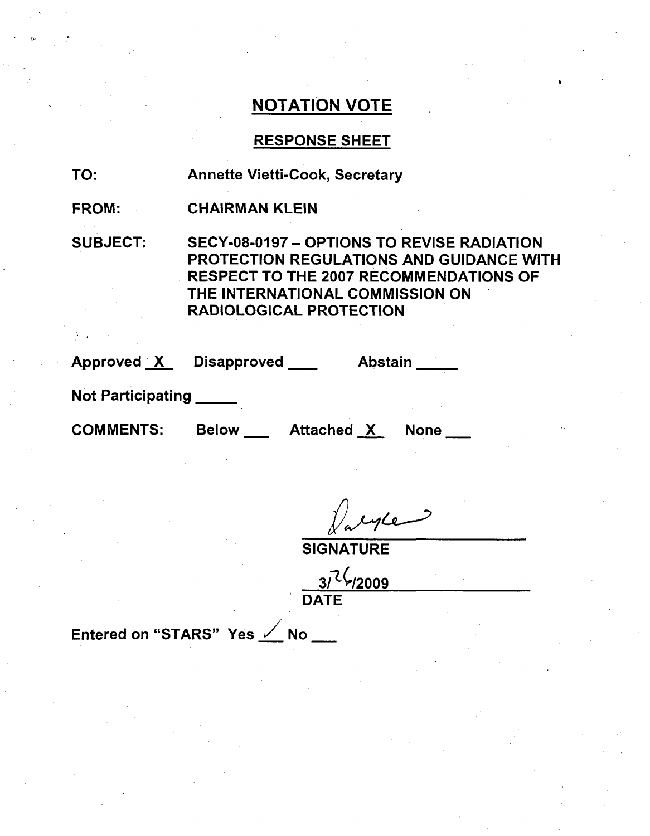### RESPONSE SHEET

| TO: | <b>Annette Vietti-Cook, Secretary</b> |
|-----|---------------------------------------|
|-----|---------------------------------------|

FROM: CHAIRMAN KLEIN

SUBJECT: SECY-08-0197 - OPTIONS TO REVISE RADIATION PROTECTION REGULATIONS AND GUIDANCE WITH RESPECT TO THE 2007 RECOMMENDATIONS OF THE INTERNATIONAL COMMISSION ON RADIOLOGICAL PROTECTION

| Approved X | <b>Disapproved</b> | <b>Abstain</b> |
|------------|--------------------|----------------|
|            |                    |                |

Not Participating

COMMENTS: Below \_\_ Attached X None \_\_

alyte

**SIGNATURE** 

**3/1(/2009** DATE

Entered on "STARS" Yes  $\angle$  No \_\_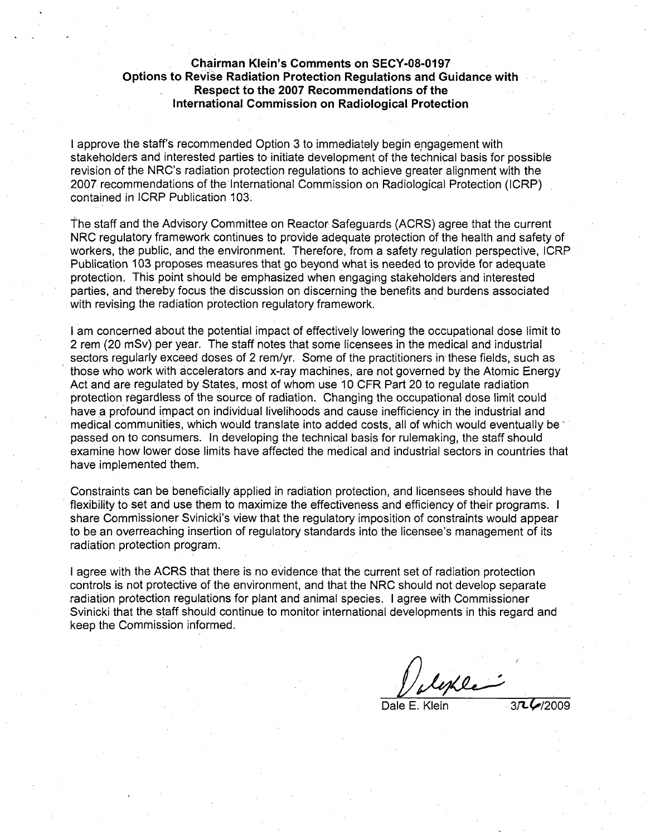#### Chairman Klein's Comments on **SECY-08-0197** Options to Revise Radiation Protection Regulations and Guidance with Respect to the **2007** Recommendations of the International Commission on Radiological Protection

I approve the staff's recommended Option 3 to immediately begin engagement with stakeholders and interested parties to initiate development of the technical basis for possible revision of the NRC's radiation protection regulations to achieve greater alignment with the 2007 recommendations of the International Commission on Radiological Protection (ICRP) contained in ICRP Publication 103.

the staff and the Advisory Committee on Reactor Safeguards (ACRS) agree that the current NRC regulatory framework continues to provide adequate protection of the health and safety of workers, the public, and the environment. Therefore, from a safety regulation perspective, ICRP Publication 103 proposes measures that go beyond what is needed to provide for adequate protection. This point should be emphasized when engaging stakeholders and interested parties, and thereby focus the discussion on discerning the benefits and burdens associated with revising the radiation protection regulatory framework.

I am concerned about the potential impact of effectively lowering the occupational dose limit to 2 rem (20 mSv) per year. The staff notes that some licensees in the medical and industrial sectors regularly exceed doses of 2 rem/yr. Some of the practitioners in these fields, such as those who work with accelerators and x-ray machines, are not governed by the Atomic Energy Act and are regulated by States, most of whom use 10 CFR Part 20 to regulate radiation protection regardless of the source of radiation. Changing the occupational dose limit could have a profound impact on individual livelihoods and cause inefficiency in the industrial and medical communities, which would translate into added costs, all of which would eventually be passed on to consumers. In developing the technical basis for rulemaking, the staff should examine how lower dose limits have affected the medical and industrial sectors in countries that have implemented them.

Constraints can be beneficially applied in radiation protection, and licensees should have the flexibility to set and use them to maximize the effectiveness and efficiency of their programs. I share Commissioner Svinicki's view that the regulatory imposition of constraints would appear to be an overreaching insertion of regulatory standards into the licensee's management of its radiation protection program.

I agree with the ACRS that there is no evidence that the current set of radiation protection controls is not protective of the environment, and that the NRC should not develop separate radiation protection regulations for plant and animal species. I agree with Commissioner Svinicki that the staff should continue to monitor international developments in this regard and keep the Commission informed.

lest le

Dale E. Klein 37LC/2009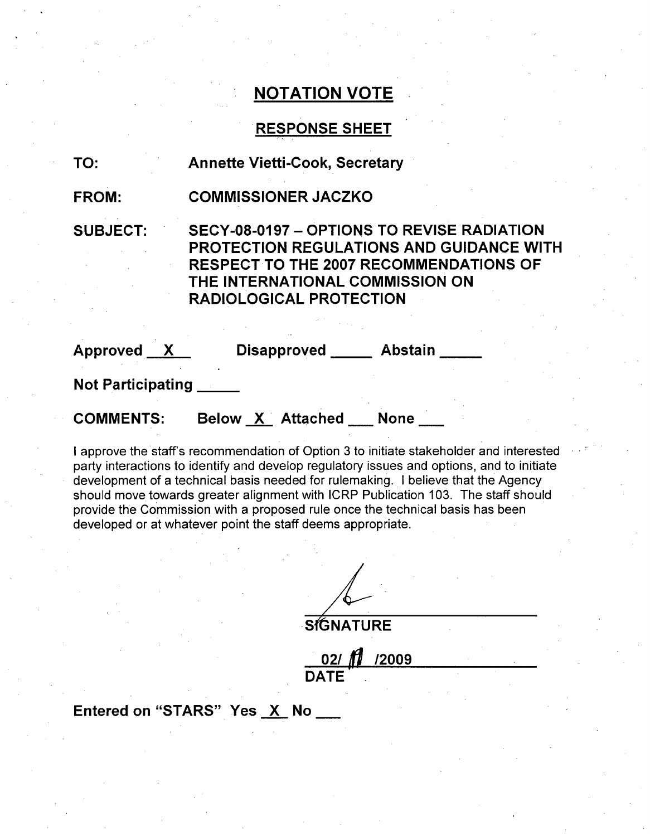# **RESPONSE SHEET**

| TO:                      | <b>Annette Vietti-Cook, Secretary</b>                             |                                                                                                                                                       |  |  |  |
|--------------------------|-------------------------------------------------------------------|-------------------------------------------------------------------------------------------------------------------------------------------------------|--|--|--|
| <b>FROM:</b>             | <b>COMMISSIONER JACZKO</b>                                        |                                                                                                                                                       |  |  |  |
| <b>SUBJECT:</b>          | THE INTERNATIONAL COMMISSION ON<br><b>RADIOLOGICAL PROTECTION</b> | <b>SECY-08-0197 - OPTIONS TO REVISE RADIATION</b><br><b>PROTECTION REGULATIONS AND GUIDANCE WITH</b><br><b>RESPECT TO THE 2007 RECOMMENDATIONS OF</b> |  |  |  |
| Approved X               | Disapproved _____ Abstain                                         |                                                                                                                                                       |  |  |  |
| <b>Not Participating</b> |                                                                   |                                                                                                                                                       |  |  |  |
| <b>COMMENTS:</b>         | Below X Attached None                                             |                                                                                                                                                       |  |  |  |
|                          |                                                                   |                                                                                                                                                       |  |  |  |

I approve the staff's recommendation of Option 3 to initiate stakeholder and interested party interactions to identify and develop regulatory issues and options, and to initiate development of a technical basis needed for rulemaking. I believe that the Agency should move towards greater alignment with ICRP Publication 103. The staff should provide the Commission with a proposed rule once the technical basis has been developed or at whatever point the staff deems appropriate.

**SIGNATURE** 

02/ **/2009 DATE**

### Entered on "STARS" Yes X No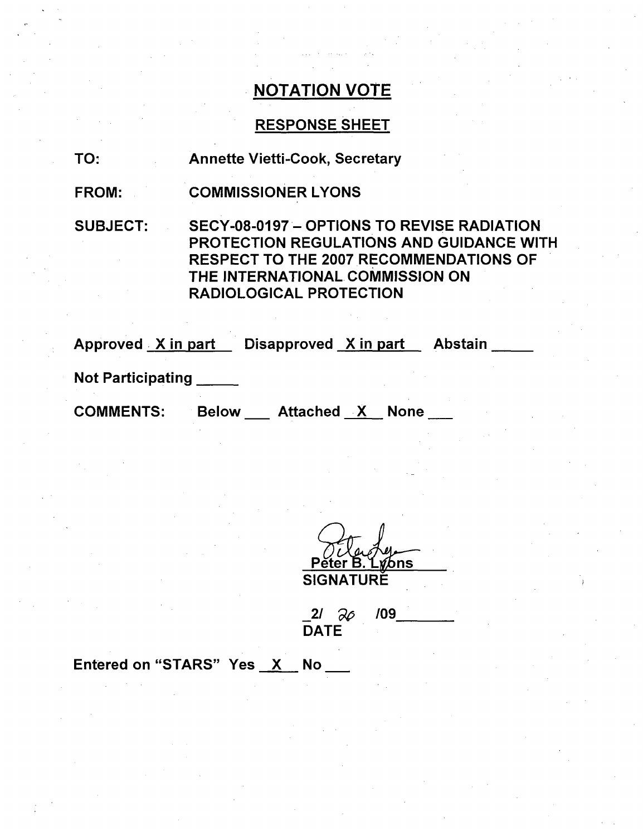### RESPONSE SHEET

| TO: |  | <b>Annette Vietti-Cook, Secretary</b> |  |
|-----|--|---------------------------------------|--|
|     |  |                                       |  |

FROM: COMMISSIONER LYONS

SUBJECT: SECY-08-0197- OPTIONS TO REVISE RADIATION PROTECTION REGULATIONS AND GUIDANCE WITH RESPECT TO THE 2007 RECOMMENDATIONS OF THE INTERNATIONAL COMMISSION ON RADIOLOGICAL PROTECTION

| Approved X in part       |              | Disapproved X in part |             | <b>Abstain</b> |
|--------------------------|--------------|-----------------------|-------------|----------------|
| <b>Not Participating</b> |              |                       |             |                |
| <b>COMMENTS:</b>         | <b>Below</b> | Attached X            | <b>None</b> |                |
|                          |              |                       |             |                |

er B. L*yl*ons **SIGNATURE** 

2/ *9p* **DATE** /09

Entered on "STARS" Yes X No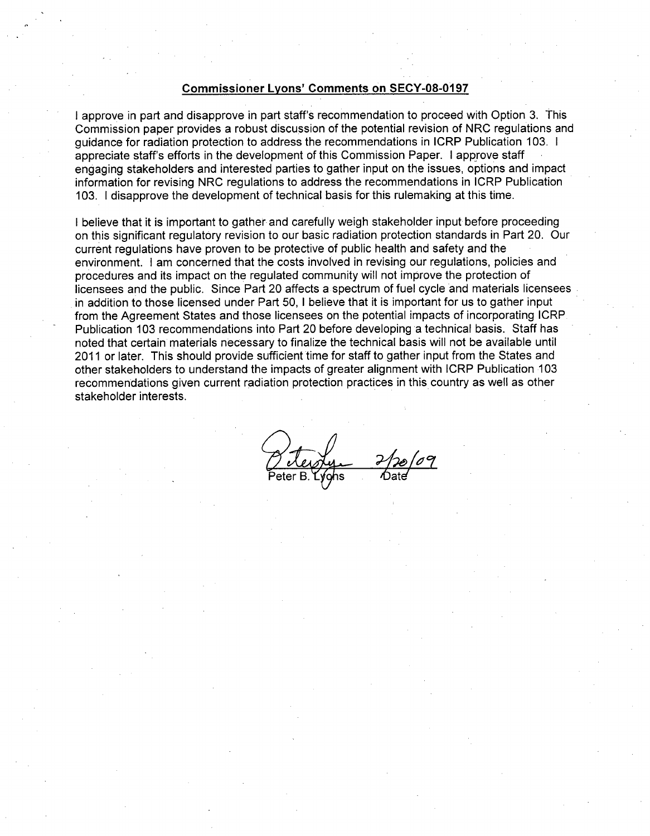#### Commissioner Lyons' Comments on **SECY-08-0197**

**I** approve in part and disapprove in part staff's recommendation to proceed with Option 3. This Commission paper provides a robust discussion of the potential revision of NRC regulations and guidance for radiation protection to address the recommendations in ICRP Publication 103. I appreciate staff's efforts in the development of this Commission Paper. I approve staff engaging stakeholders and interested parties to gather input on the issues, options and impact information for revising NRC regulations to address the recommendations in ICRP Publication 103. I disapprove the development of technical basis for this rulemaking at this time.

I believe that it is important to gather and carefully weigh stakeholder input before proceeding on this significant regulatory revision to our basic radiation protection standards in Part 20. Our current regulations have proven to be protective of public health and safety and the environment. I am concerned that the costs involved in revising our regulations, policies and procedures and its impact on the regulated community will not improve the protection of licensees and the public. Since Part 20 affects a spectrum of fuel cycle and materials licensees in addition to those licensed under Part 50, I believe that it is important for us to gather input from the Agreement States and those licensees on the potential impacts of incorporating ICRP Publication 103 recommendations into Part 20 before developing a technical basis. Staff has noted that certain materials necessary to finalize the technical basis will not be available until 2011 or later. This should provide sufficient time for staff to gather input from the States and other stakeholders to understand the impacts of greater alignment with ICRP Publication 103 recommendations given current radiation protection practices in this country as well as other stakeholder interests.

Peter B. Lyghs *Date*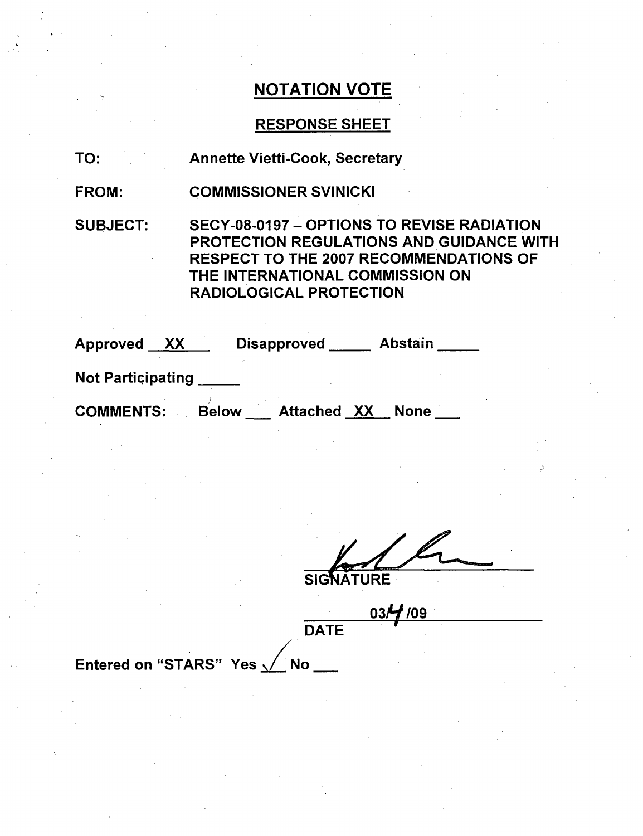### RESPONSE SHEET

| TO: |  |  |  | <b>Annette Vietti-Cook, Secretary</b> |  |
|-----|--|--|--|---------------------------------------|--|
|-----|--|--|--|---------------------------------------|--|

FROM: COMMISSIONER SVINICKI

SUBJECT: SECY-08-0197 - OPTIONS TO REVISE RADIATION PROTECTION REGULATIONS AND GUIDANCE WITH RESPECT TO THE 2007 RECOMMENDATIONS OF THE INTERNATIONAL COMMISSION ON RADIOLOGICAL PROTECTION

| Approved XX              |              | <b>Disapproved</b> | <b>Abstain</b> |
|--------------------------|--------------|--------------------|----------------|
| <b>Not Participating</b> |              |                    |                |
| <b>COMMENTS:</b>         | <b>Below</b> | <b>Attached XX</b> | <b>None</b>    |

**SIGN** 

**1)**

JRE

**03H /09 1 IF** DATE

Entered on "STARS" Yes **,/** No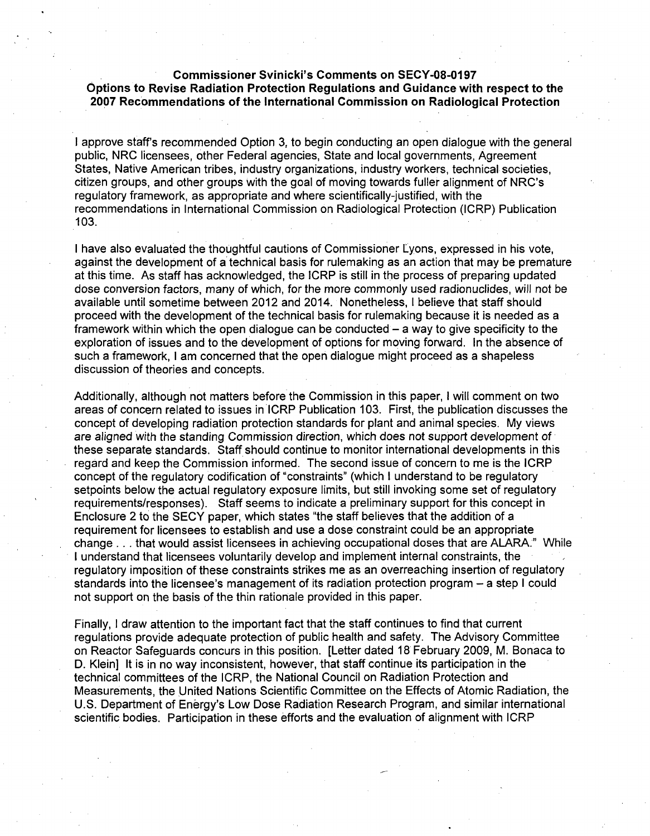Commissioner Svinicki's Comments on **SECY-08-0197** Options to Revise Radiation Protection Regulations and Guidance with respect to the **2007** Recommendations of the International Commission on Radiological Protection

I approve staff's recommended Option 3, to begin conducting an open dialogue with the general public, NRC licensees, other Federal agencies, State and local governments, Agreement States, Native American tribes, industry organizations, industry workers, technical societies, citizen groups, and other groups with the goal of moving towards fuller alignment of NRC's regulatory framework, as appropriate and where scientifically-justified, with the recommendations in International Commission on Radiological Protection (ICRP) Publication 103.

I have also evaluated the thoughtful cautions of Commissioner Lyons, expressed in his vote, against the development of a technical basis for rulemaking as an action that may be premature at this time. As staff has acknowledged, the ICRP is still in the process of preparing updated dose conversion factors, many of which, for the more commonly used radionuclides, will not be available until sometime between 2012 and 2014. Nonetheless, I believe that staff should proceed with the development of the technical basis for rulemaking because it is needed as a framework within which the open dialogue can be conducted  $-$  a way to give specificity to the exploration of issues and to the development of options for moving forward. In the absence of such a framework, I am concerned that the open dialogue might proceed as a shapeless discussion of theories and concepts.

Additionally, although not matters before the Commission in this paper, I will comment on two areas of concern related to issues in ICRP Publication 103. First, the publication discusses the concept of developing radiation protection standards for plant and animal species. My views are aligned with the standing Commission direction, which does not support development of these separate standards. Staff should continue to monitor international developments in this regard and keep the Commission informed. The second issue of concern to me is the ICRP concept of the regulatory codification of "constraints" (which I understand to be regulatory setpoints below the actual regulatory exposure limits, but still invoking some set of regulatory requirements/responses). Staff seems to indicate a preliminary support for this concept in Enclosure 2 to the SECY paper, which states "the staff believes that the addition of a requirement for licensees to establish and use a dose constraint could be an appropriate change... that would assist licensees in achieving occupational doses that are ALARA." While I understand that licensees voluntarily develop and implement internal constraints, the regulatory imposition of these constraints strikes me as an overreaching insertion of regulatory standards into the licensee's management of its radiation protection program - a step I could not support on the basis of the thin rationale provided in this paper.

Finally, I draw attention to the important fact that the staff continues to find that current regulations provide adequate protection of public health and safety. The Advisory Committee on Reactor Safeguards concurs in this position. [Letter dated 18 February 2009, M. Bonaca to D. Klein] It is in no way inconsistent, however, that staff continue its participation in the technical committees of the ICRP, the National Council on Radiation Protection and Measurements, the United Nations Scientific Committee on the Effects of Atomic Radiation, the U.S. Department of Energy's Low Dose Radiation Research Program, and similar international scientific bodies. Participation in these efforts and the evaluation of alignment with ICRP